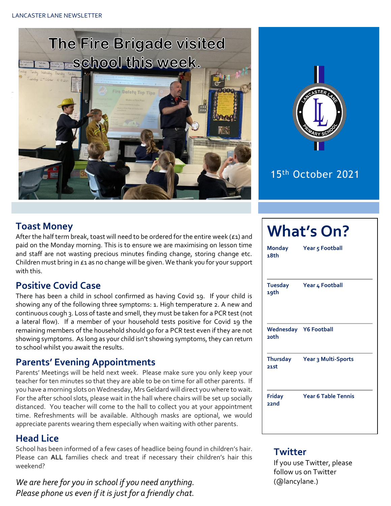



## 15th October 2021

### **Toast Money**

After the half term break, toast will need to be ordered for the entire week ( $\epsilon$ 1) and paid on the Monday morning. This is to ensure we are maximising on lesson time and staff are not wasting precious minutes finding change, storing change etc. Children must bring in £1 as no change will be given. We thank you for your support with this.

#### **Positive Covid Case**

There has been a child in school confirmed as having Covid 19. If your child is showing any of the following three symptoms: 1. High temperature 2. A new and continuous cough 3. Loss of taste and smell, they must be taken for a PCR test (not a lateral flow). If a member of your household tests positive for Covid 19 the remaining members of the household should go for a PCR test even if they are not showing symptoms. As long as your child isn't showing symptoms, they can return to school whilst you await the results.

#### **Parents' Evening Appointments**

Parents' Meetings will be held next week. Please make sure you only keep your teacher for ten minutes so that they are able to be on time for all other parents. If you have a morning slots on Wednesday, Mrs Geldard will direct you where to wait. For the after school slots, please wait in the hall where chairs will be set up socially distanced. You teacher will come to the hall to collect you at your appointment time. Refreshments will be available. Although masks are optional, we would appreciate parents wearing them especially when waiting with other parents.

#### **Head Lice**

School has been informed of a few cases of headlice being found in children's hair. Please can **ALL** families check and treat if necessary their children's hair this weekend?

*We are here for you in school if you need anything. Please phone us even if it is just for a friendly chat.* 

| Monday<br>18 <sub>th</sub>    | <b>What's On?</b><br>Year 5 Football |  |  |  |  |
|-------------------------------|--------------------------------------|--|--|--|--|
| <b>Tuesday</b><br>19th        | Year 4 Football                      |  |  |  |  |
| Wednesday Y6 Football<br>20th |                                      |  |  |  |  |
| <b>Thursday</b><br>21st       | Year 3 Multi-Sports                  |  |  |  |  |
| <b>Friday</b><br><b>bucc</b>  | <b>Year 6 Table Tennis</b>           |  |  |  |  |

#### **Twitter**

If you use Twitter, please follow us on Twitter (@lancylane.)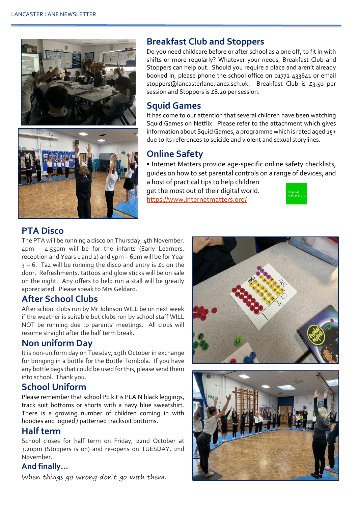



#### **Breakfast Club and Stoppers**

Do you need childcare before or after school as a one off, to fit in with shifts or more regularly? Whatever your needs, Breakfast Club and Stoppers can help out. Should you require a place and aren't already booked in, please phone the school office on 01772 433641 or email stoppers@lancasterlane.lancs.sch.uk. Breakfast Club is £3.50 per session and Stoppers is £8.20 per session.

#### **Squid Games**

It has come to our attention that several children have been watching Squid Games on Netflix. Please refer to the attachment which gives information about Squid Games, a programme which is rated aged 15+ due to its references to suicide and violent and sexual storylines.

## **Online Safety**

• Internet Matters provide age-specific online safety checklists, guides on how to set parental controls on a range of devices, and

a host of practical tips to help children get the most out of their digital world. <https://www.internetmatters.org/>



### **PTA Disco**

The PTA will be running a disco on Thursday, 4th November. 4pm – 4.55pm will be for the infants (Early Learners, reception and Years 1 and 2) and 5pm – 6pm will be for Year  $3 - 6$ . Taz will be running the disco and entry is  $\epsilon_1$  on the door. Refreshments, tattoos and glow sticks will be on sale on the night. Any offers to help run a stall will be greatly appreciated. Please speak to Mrs Geldard.

### **After School Clubs**

After school clubs run by Mr Johnson WILL be on next week if the weather is suitable but clubs run by school staff WILL NOT be running due to parents' meetings. All clubs will resume straight after the half term break.

#### **Non uniform Day**

It is non-uniform day on Tuesday, 19th October in exchange for bringing in a bottle for the Bottle Tombola. If you have any bottle bags that could be used for this, please send them into school. Thank you.

### **School Uniform**

Please remember that school PE kit is PLAIN black leggings, track suit bottoms or shorts with a navy blue sweatshirt. There is a growing number of children coming in with hoodies and logoed / patterned tracksuit bottoms.

#### **Half term**

School closes for half term on Friday, 22nd October at 3.20pm (Stoppers is on) and re-opens on TUESDAY, 2nd November.

#### **And finally…**

When things go wrong don't go with them.